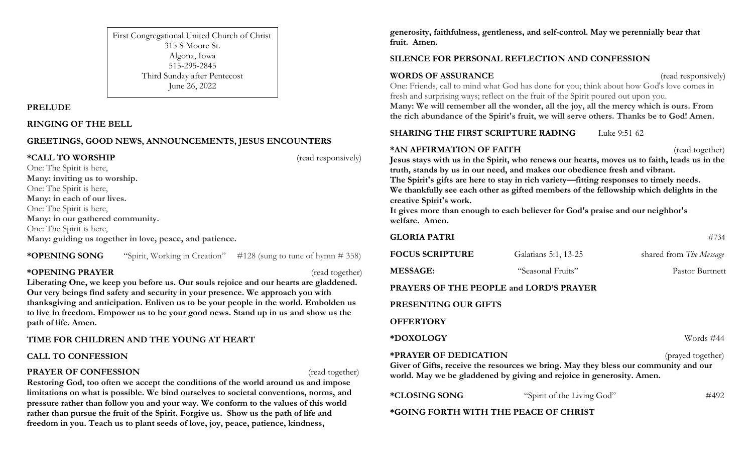First Congregational United Church of Christ 315 S Moore St. Algona, Iowa 515-295-2845 Third Sunday after Pentecost June 26, 2022

#### **PRELUDE**

**RINGING OF THE BELL**

### **GREETINGS, GOOD NEWS, ANNOUNCEMENTS, JESUS ENCOUNTERS**

**\*CALL TO WORSHIP** (read responsively)

One: The Spirit is here, **Many: inviting us to worship.** One: The Spirit is here, **Many: in each of our lives.** One: The Spirit is here, **Many: in our gathered community.** One: The Spirit is here, **Many: guiding us together in love, peace, and patience.**

**\*OPENING SONG** "Spirit, Working in Creation" #128 (sung to tune of hymn # 358)

### **\*OPENING PRAYER** (read together)

**Liberating One, we keep you before us. Our souls rejoice and our hearts are gladdened. Our very beings find safety and security in your presence. We approach you with thanksgiving and anticipation. Enliven us to be your people in the world. Embolden us to live in freedom. Empower us to be your good news. Stand up in us and show us the path of life. Amen.**

### **TIME FOR CHILDREN AND THE YOUNG AT HEART**

### **CALL TO CONFESSION**

### **PRAYER OF CONFESSION** (read together)

**Restoring God, too often we accept the conditions of the world around us and impose limitations on what is possible. We bind ourselves to societal conventions, norms, and pressure rather than follow you and your way. We conform to the values of this world rather than pursue the fruit of the Spirit. Forgive us. Show us the path of life and freedom in you. Teach us to plant seeds of love, joy, peace, patience, kindness,** 

**generosity, faithfulness, gentleness, and self-control. May we perennially bear that fruit. Amen.**

## **SILENCE FOR PERSONAL REFLECTION AND CONFESSION**

### **WORDS OF ASSURANCE** (read responsively)

One: Friends, call to mind what God has done for you; think about how God's love comes in fresh and surprising ways; reflect on the fruit of the Spirit poured out upon you. **Many: We will remember all the wonder, all the joy, all the mercy which is ours. From the rich abundance of the Spirit's fruit, we will serve others. Thanks be to God! Amen.**

# **SHARING THE FIRST SCRIPTURE RADING** Luke 9:51-62

**\*AN AFFIRMATION OF FAITH** (read together) **Jesus stays with us in the Spirit, who renews our hearts, moves us to faith, leads us in the truth, stands by us in our need, and makes our obedience fresh and vibrant. The Spirit's gifts are here to stay in rich variety—fitting responses to timely needs. We thankfully see each other as gifted members of the fellowship which delights in the creative Spirit's work.**

**It gives more than enough to each believer for God's praise and our neighbor's welfare. Amen.**

| <b>GLORIA PATRI</b>                                                                                                                                                                                                |                            | #734                    |
|--------------------------------------------------------------------------------------------------------------------------------------------------------------------------------------------------------------------|----------------------------|-------------------------|
| <b>FOCUS SCRIPTURE</b>                                                                                                                                                                                             | Galatians 5:1, 13-25       | shared from The Message |
| <b>MESSAGE:</b>                                                                                                                                                                                                    | "Seasonal Fruits"          | Pastor Burtnett         |
| PRAYERS OF THE PEOPLE and LORD'S PRAYER                                                                                                                                                                            |                            |                         |
| PRESENTING OUR GIFTS                                                                                                                                                                                               |                            |                         |
| <b>OFFERTORY</b>                                                                                                                                                                                                   |                            |                         |
| *DOXOLOGY                                                                                                                                                                                                          |                            | Words #44               |
| <b>*PRAYER OF DEDICATION</b><br>(prayed together)<br>Giver of Gifts, receive the resources we bring. May they bless our community and our<br>world. May we be gladdened by giving and rejoice in generosity. Amen. |                            |                         |
| *CLOSING SONG                                                                                                                                                                                                      | "Spirit of the Living God" | #492                    |

**\*GOING FORTH WITH THE PEACE OF CHRIST**